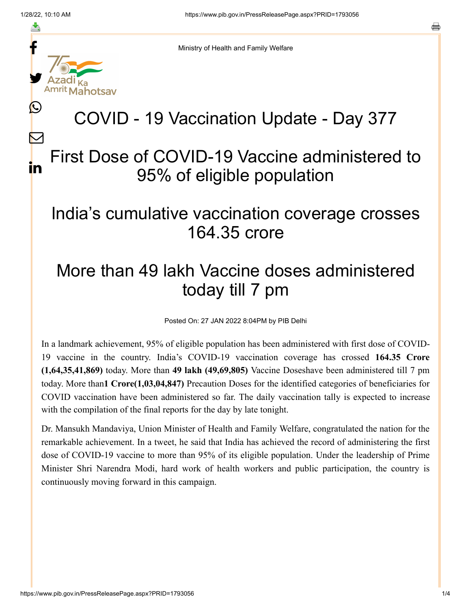f

≛

y.

L

 $\bm{\nabla}$ 

in

o



# COVID - 19 Vaccination Update - Day 377

## First Dose of COVID-19 Vaccine administered to 95% of eligible population

#### India's cumulative vaccination coverage crosses 164.35 crore

## More than 49 lakh Vaccine doses administered today till 7 pm

Posted On: 27 JAN 2022 8:04PM by PIB Delhi

In a landmark achievement, 95% of eligible population has been administered with first dose of COVID-19 vaccine in the country. India's COVID-19 vaccination coverage has crossed **164.35 Crore (1,64,35,41,869)** today. More than **49 lakh (49,69,805)** Vaccine Doseshave been administered till 7 pm today. More than**1 Crore(1,03,04,847)** Precaution Doses for the identified categories of beneficiaries for COVID vaccination have been administered so far. The daily vaccination tally is expected to increase with the compilation of the final reports for the day by late tonight.

Dr. Mansukh Mandaviya, Union Minister of Health and Family Welfare, congratulated the nation for the remarkable achievement. In a tweet, he said that India has achieved the record of administering the first dose of COVID-19 vaccine to more than 95% of its eligible population. Under the leadership of Prime Minister Shri Narendra Modi, hard work of health workers and public participation, the country is continuously moving forward in this campaign.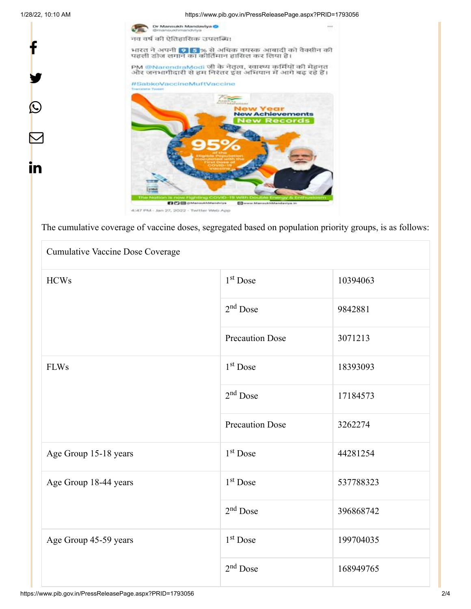f

y.

 $\circledcirc$ 

<u>in</u>

1/28/22, 10:10 AM https://www.pib.gov.in/PressReleasePage.aspx?PRID=1793056



The cumulative coverage of vaccine doses, segregated based on population priority groups, is as follows:

| <b>Cumulative Vaccine Dose Coverage</b> |                        |           |  |  |
|-----------------------------------------|------------------------|-----------|--|--|
| <b>HCWs</b>                             | $1st$ Dose             | 10394063  |  |  |
|                                         | $2nd$ Dose             | 9842881   |  |  |
|                                         | <b>Precaution Dose</b> | 3071213   |  |  |
| <b>FLWs</b>                             | $1st$ Dose             | 18393093  |  |  |
|                                         | $2nd$ Dose             | 17184573  |  |  |
|                                         | <b>Precaution Dose</b> | 3262274   |  |  |
| Age Group 15-18 years                   | $1st$ Dose             | 44281254  |  |  |
| Age Group 18-44 years                   | $1st$ Dose             | 537788323 |  |  |
|                                         | $2nd$ Dose             | 396868742 |  |  |
| Age Group 45-59 years                   | $1st$ Dose             | 199704035 |  |  |
|                                         | $2nd$ Dose             | 168949765 |  |  |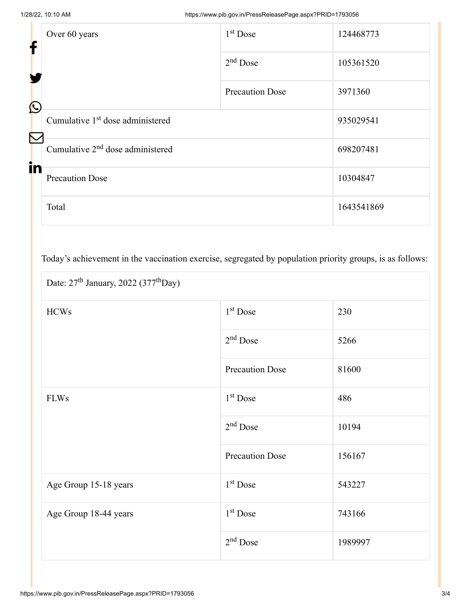| f                     | Over 60 years                                | $1st$ Dose             | 124468773  |
|-----------------------|----------------------------------------------|------------------------|------------|
|                       |                                              | $2nd$ Dose             | 105361520  |
| $\bigcirc$            |                                              | <b>Precaution Dose</b> | 3971360    |
| $\boldsymbol{\nabla}$ | Cumulative 1 <sup>st</sup> dose administered |                        | 935029541  |
| in                    | Cumulative $2nd$ dose administered           |                        | 698207481  |
|                       | <b>Precaution Dose</b>                       |                        | 10304847   |
|                       | Total                                        |                        | 1643541869 |

Today's achievement in the vaccination exercise, segregated by population priority groups, is as follows:

| Date: $27th$ January, 2022 (377 <sup>th</sup> Day) |                        |         |  |  |
|----------------------------------------------------|------------------------|---------|--|--|
| <b>HCWs</b>                                        | 1 <sup>st</sup> Dose   | 230     |  |  |
|                                                    | $2nd$ Dose             | 5266    |  |  |
|                                                    | <b>Precaution Dose</b> | 81600   |  |  |
| <b>FLWs</b>                                        | $1st$ Dose             | 486     |  |  |
|                                                    | $2nd$ Dose             | 10194   |  |  |
|                                                    | <b>Precaution Dose</b> | 156167  |  |  |
| Age Group 15-18 years                              | 1 <sup>st</sup> Dose   | 543227  |  |  |
| Age Group 18-44 years                              | 1 <sup>st</sup> Dose   | 743166  |  |  |
|                                                    | $2nd$ Dose             | 1989997 |  |  |